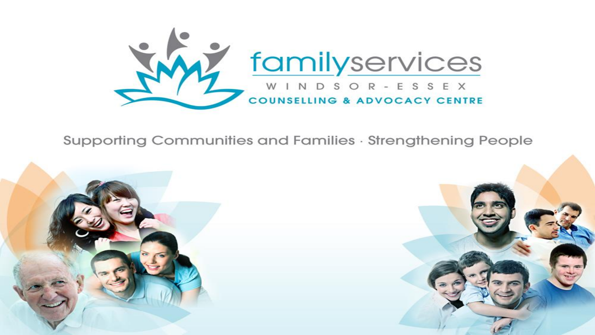

#### Supporting Communities and Families · Strengthening People

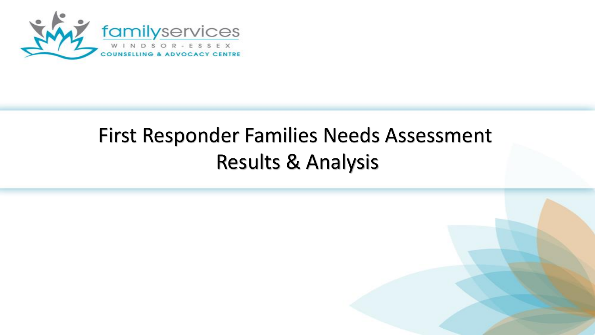

# First Responder Families Needs Assessment Results & Analysis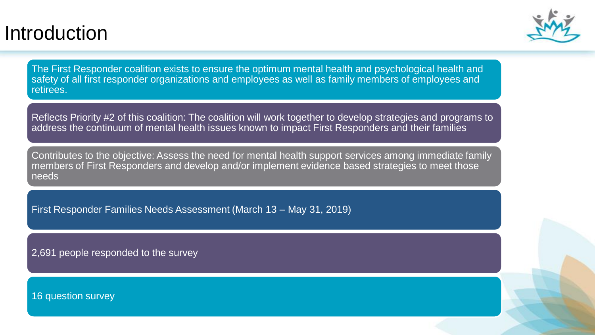#### Introduction



The First Responder coalition exists to ensure the optimum mental health and psychological health and safety of all first responder organizations and employees as well as family members of employees and retirees.

Reflects Priority #2 of this coalition: The coalition will work together to develop strategies and programs to address the continuum of mental health issues known to impact First Responders and their families

Contributes to the objective: Assess the need for mental health support services among immediate family members of First Responders and develop and/or implement evidence based strategies to meet those needs

First Responder Families Needs Assessment (March 13 – May 31, 2019)

2,691 people responded to the survey

16 question survey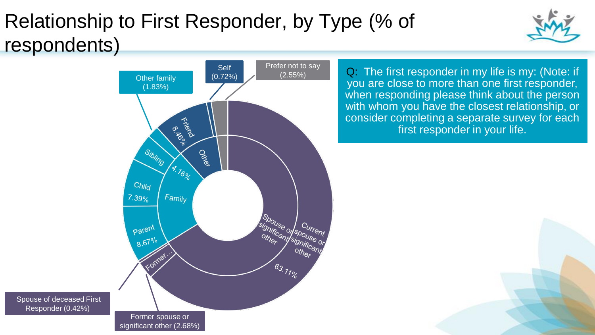# Relationship to First Responder, by Type (% of respondents)



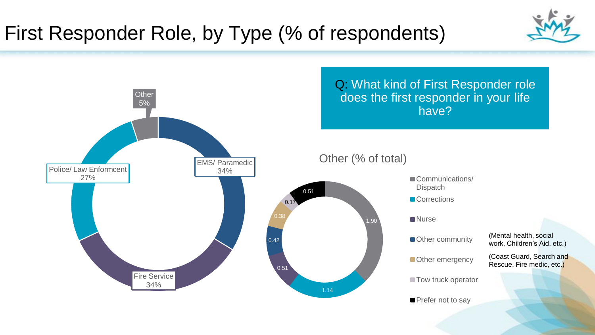### First Responder Role, by Type (% of respondents)



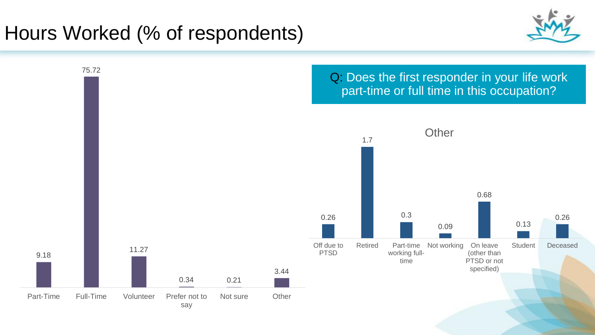### Hours Worked (% of respondents)

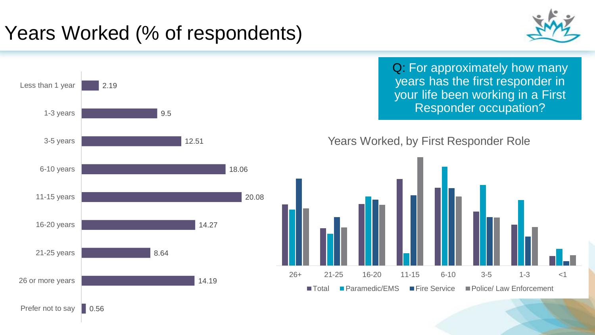# Years Worked (% of respondents)





Q: For approximately how many years has the first responder in your life been working in a First Responder occupation?

#### Years Worked, by First Responder Role

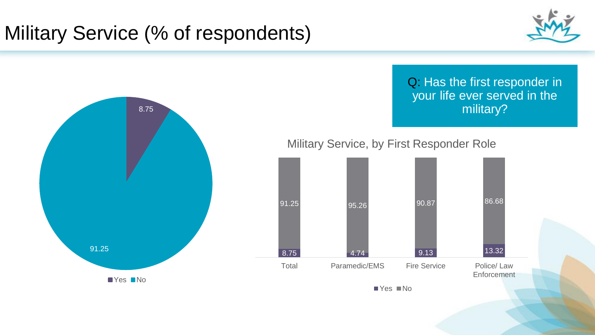## Military Service (% of respondents)



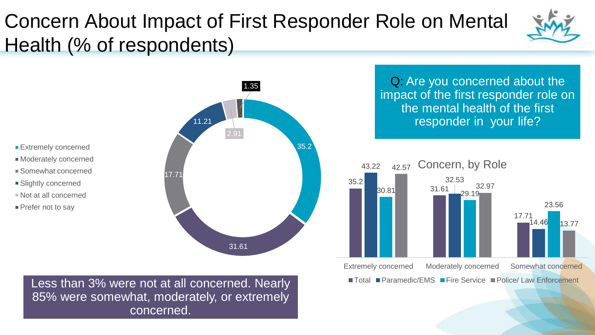## Concern About Impact of First Responder Role on Mental Health (% of respondents)



**Extremely concerned** 

Moderately concerned

- Somewhat concerned
- **Slightly concerned**
- Not at all concerned
- **Prefer not to say**



Less than 3% were not at all concerned. Nearly 85% were somewhat, moderately, or extremely concerned.

Q: Are you concerned about the impact of the first responder role on the mental health of the first responder in your life?

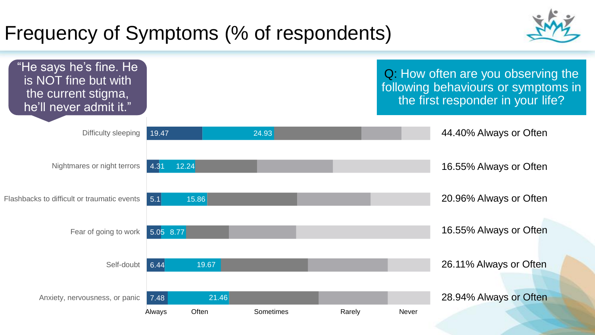### Frequency of Symptoms (% of respondents)



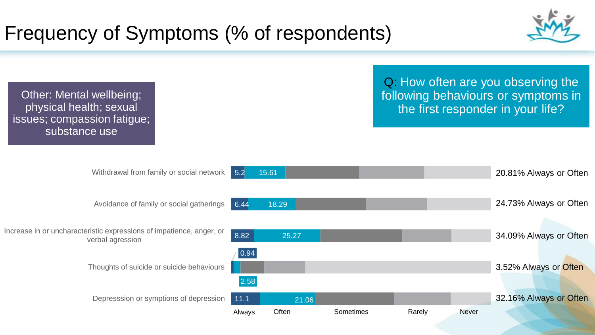## Frequency of Symptoms (% of respondents)



Other: Mental wellbeing; physical health; sexual issues; compassion fatigue; substance use

Withdrawal from family or social network

Avoidance of family or social gatherings

Increase in or uncharacteristic expressions of impatience, anger, or verbal agression

Thoughts of suicide or suicide behaviours

Depresssion or symptions of depression

Q: How often are you observing the following behaviours or symptoms in the first responder in your life?

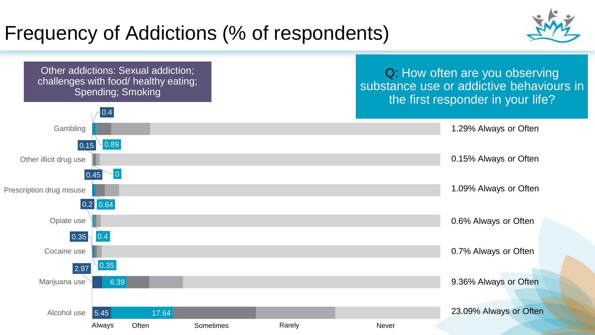### Frequency of Addictions (% of respondents)



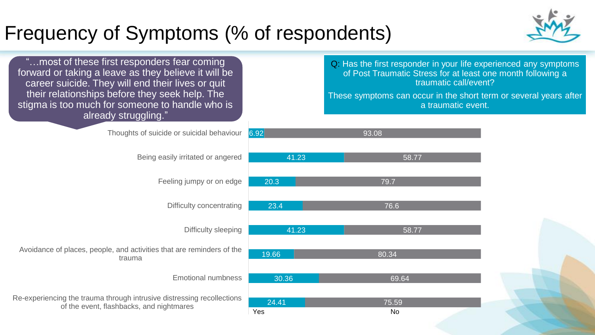### Frequency of Symptoms (% of respondents)



| most of these first responders fear coming<br>forward or taking a leave as they believe it will be<br>career suicide. They will end their lives or quit<br>their relationships before they seek help. The<br>stigma is too much for someone to handle who is<br>already struggling." |              | Q: Has the first responder in your life experienced any symptoms<br>of Post Traumatic Stress for at least one month following a<br>traumatic call/event?<br>These symptoms can occur in the short term or several years after<br>a traumatic event. |  |
|--------------------------------------------------------------------------------------------------------------------------------------------------------------------------------------------------------------------------------------------------------------------------------------|--------------|-----------------------------------------------------------------------------------------------------------------------------------------------------------------------------------------------------------------------------------------------------|--|
|                                                                                                                                                                                                                                                                                      |              |                                                                                                                                                                                                                                                     |  |
| Thoughts of suicide or suicidal behaviour                                                                                                                                                                                                                                            | 6.92         | 93.08                                                                                                                                                                                                                                               |  |
|                                                                                                                                                                                                                                                                                      |              |                                                                                                                                                                                                                                                     |  |
| Being easily irritated or angered                                                                                                                                                                                                                                                    | 41.23        | 58.77                                                                                                                                                                                                                                               |  |
|                                                                                                                                                                                                                                                                                      |              |                                                                                                                                                                                                                                                     |  |
| Feeling jumpy or on edge                                                                                                                                                                                                                                                             | 20.3         | 79.7                                                                                                                                                                                                                                                |  |
| Difficulty concentrating                                                                                                                                                                                                                                                             | 23.4         | 76.6                                                                                                                                                                                                                                                |  |
|                                                                                                                                                                                                                                                                                      |              |                                                                                                                                                                                                                                                     |  |
| Difficulty sleeping                                                                                                                                                                                                                                                                  | 41.23        | 58.77                                                                                                                                                                                                                                               |  |
|                                                                                                                                                                                                                                                                                      |              |                                                                                                                                                                                                                                                     |  |
| Avoidance of places, people, and activities that are reminders of the<br>trauma                                                                                                                                                                                                      | 19.66        | 80.34                                                                                                                                                                                                                                               |  |
|                                                                                                                                                                                                                                                                                      |              |                                                                                                                                                                                                                                                     |  |
| <b>Emotional numbness</b>                                                                                                                                                                                                                                                            | 30.36        | 69.64                                                                                                                                                                                                                                               |  |
| Re-experiencing the trauma through intrusive distressing recollections                                                                                                                                                                                                               |              |                                                                                                                                                                                                                                                     |  |
| of the event, flashbacks, and nightmares                                                                                                                                                                                                                                             | 24.41<br>Yes | 75.59<br><b>No</b>                                                                                                                                                                                                                                  |  |
|                                                                                                                                                                                                                                                                                      |              |                                                                                                                                                                                                                                                     |  |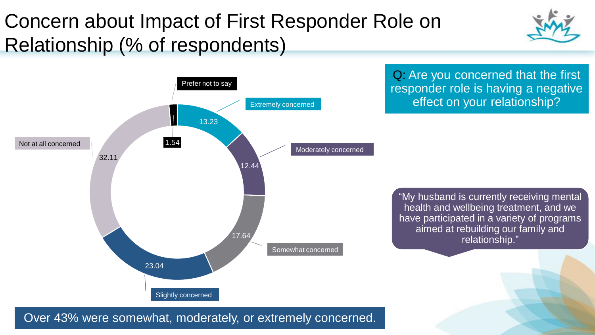# Concern about Impact of First Responder Role on Relationship (% of respondents)





Q: Are you concerned that the first responder role is having a negative effect on your relationship?

"My husband is currently receiving mental health and wellbeing treatment, and we have participated in a variety of programs aimed at rebuilding our family and relationship."

Over 43% were somewhat, moderately, or extremely concerned.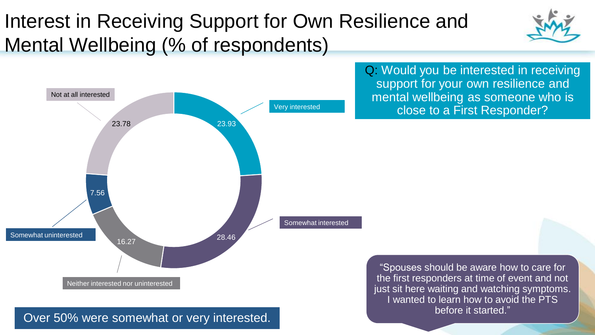# Interest in Receiving Support for Own Resilience and Mental Wellbeing (% of respondents)



Q: Would you be interested in receiving support for your own resilience and mental wellbeing as someone who is Very interested **Very interested Close to a First Responder?** 

> "Spouses should be aware how to care for the first responders at time of event and not just sit here waiting and watching symptoms. I wanted to learn how to avoid the PTS

#### before it started." Over 50% were somewhat or very interested.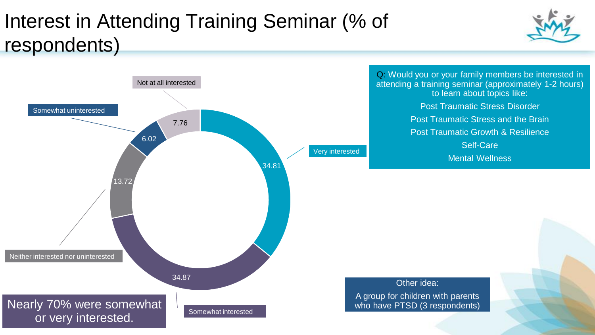# Interest in Attending Training Seminar (% of respondents)





Q: Would you or your family members be interested in attending a training seminar (approximately 1-2 hours) to learn about topics like: Post Traumatic Stress Disorder Post Traumatic Stress and the Brain Post Traumatic Growth & Resilience Self-Care Mental Wellness

Other idea:

A group for children with parents who have PTSD (3 respondents)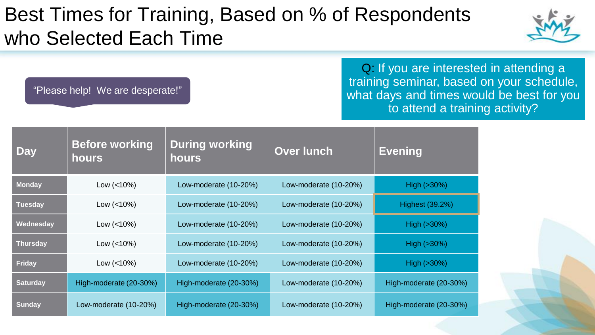#### Best Times for Training, Based on % of Respondents who Selected Each Time

"Please help! We are desperate!"

Q: If you are interested in attending a training seminar, based on your schedule, what days and times would be best for you to attend a training activity?

| <b>Day</b>      | <b>Before working</b><br>hours | <b>During working</b><br><b>hours</b> | <b>Over lunch</b>     | <b>Evening</b>         |
|-----------------|--------------------------------|---------------------------------------|-----------------------|------------------------|
| <b>Monday</b>   | Low $(<10\%)$                  | Low-moderate (10-20%)                 | Low-moderate (10-20%) | High $(>30%)$          |
| <b>Tuesday</b>  | Low $(< 10\%)$                 | Low-moderate (10-20%)                 | Low-moderate (10-20%) | Highest (39.2%)        |
| Wednesday       | Low $(< 10\%)$                 | Low-moderate (10-20%)                 | Low-moderate (10-20%) | $High ( >30\%)$        |
| <b>Thursday</b> | Low $(< 10\%)$                 | Low-moderate (10-20%)                 | Low-moderate (10-20%) | $High ( >30\%)$        |
| <b>Friday</b>   | Low $(< 10\%)$                 | Low-moderate (10-20%)                 | Low-moderate (10-20%) | High $(>30%)$          |
| <b>Saturday</b> | High-moderate (20-30%)         | High-moderate (20-30%)                | Low-moderate (10-20%) | High-moderate (20-30%) |
| <b>Sunday</b>   | Low-moderate (10-20%)          | High-moderate (20-30%)                | Low-moderate (10-20%) | High-moderate (20-30%) |

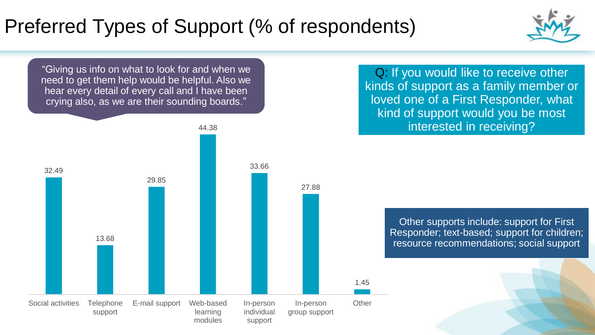# Preferred Types of Support (% of respondents)



"Giving us info on what to look for and when we need to get them help would be helpful. Also we hear every detail of every call and I have been crying also, as we are their sounding boards."



Q: If you would like to receive other kinds of support as a family member or loved one of a First Responder, what kind of support would you be most interested in receiving?

> Other supports include: support for First Responder; text-based; support for children; resource recommendations; social support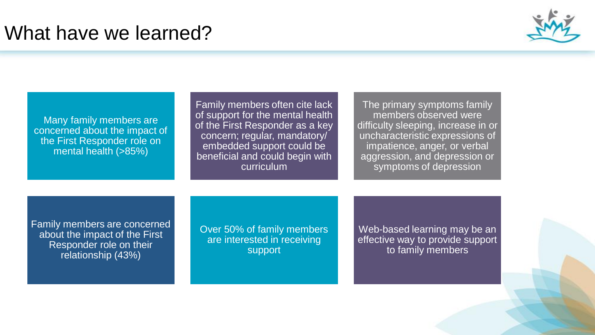#### What have we learned?



Many family members are concerned about the impact of the First Responder role on mental health (>85%)

Family members often cite lack of support for the mental health of the First Responder as a key concern; regular, mandatory/ embedded support could be beneficial and could begin with curriculum

The primary symptoms family members observed were difficulty sleeping, increase in or uncharacteristic expressions of impatience, anger, or verbal aggression, and depression or symptoms of depression

Family members are concerned about the impact of the First Responder role on their relationship (43%)

Over 50% of family members are interested in receiving support

Web-based learning may be an effective way to provide support to family members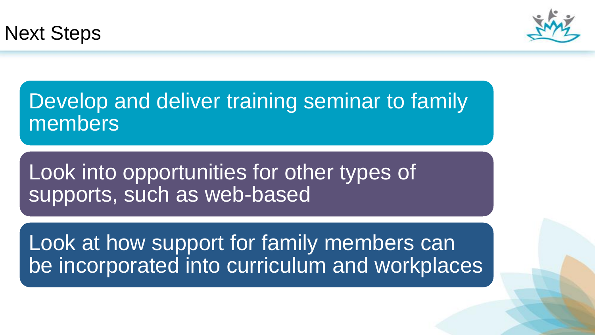



Develop and deliver training seminar to family members

Look into opportunities for other types of supports, such as web-based

Look at how support for family members can be incorporated into curriculum and workplaces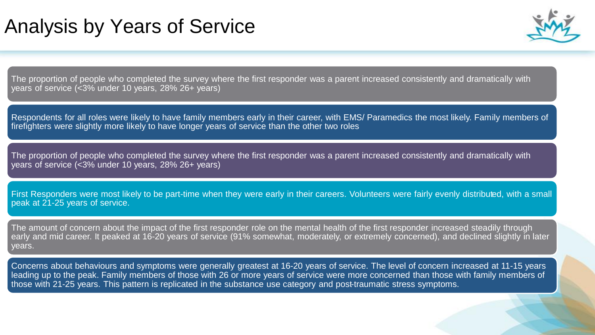#### Analysis by Years of Service



The proportion of people who completed the survey where the first responder was a parent increased consistently and dramatically with years of service (<3% under 10 years, 28% 26+ years)

Respondents for all roles were likely to have family members early in their career, with EMS/ Paramedics the most likely. Family members of firefighters were slightly more likely to have longer years of service than the other two roles

The proportion of people who completed the survey where the first responder was a parent increased consistently and dramatically with years of service (<3% under 10 years, 28% 26+ years)

First Responders were most likely to be part-time when they were early in their careers. Volunteers were fairly evenly distributed, with a small peak at 21-25 years of service.

The amount of concern about the impact of the first responder role on the mental health of the first responder increased steadily through early and mid career. It peaked at 16-20 years of service (91% somewhat, moderately, or extremely concerned), and declined slightly in later years.

Concerns about behaviours and symptoms were generally greatest at 16-20 years of service. The level of concern increased at 11-15 years leading up to the peak. Family members of those with 26 or more years of service were more concerned than those with family members of those with 21-25 years. This pattern is replicated in the substance use category and post-traumatic stress symptoms.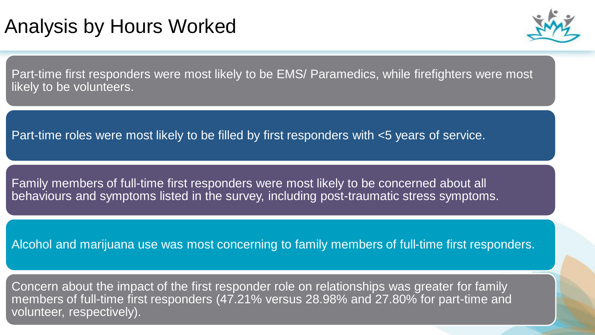#### Analysis by Hours Worked



Part-time first responders were most likely to be EMS/ Paramedics, while firefighters were most likely to be volunteers.

Part-time roles were most likely to be filled by first responders with <5 years of service.

Family members of full-time first responders were most likely to be concerned about all behaviours and symptoms listed in the survey, including post-traumatic stress symptoms.

Alcohol and marijuana use was most concerning to family members of full-time first responders.

Concern about the impact of the first responder role on relationships was greater for family members of full-time first responders (47.21% versus 28.98% and 27.80% for part-time and volunteer, respectively).